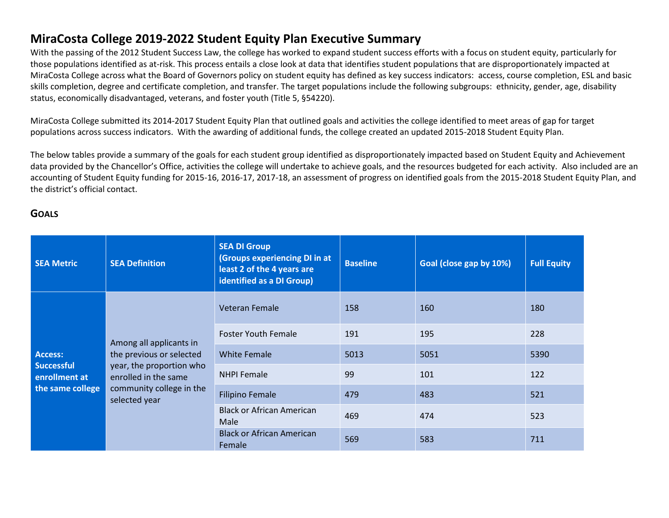# **MiraCosta College 2019-2022 Student Equity Plan Executive Summary**

With the passing of the 2012 Student Success Law, the college has worked to expand student success efforts with a focus on student equity, particularly for those populations identified as at-risk. This process entails a close look at data that identifies student populations that are disproportionately impacted at MiraCosta College across what the Board of Governors policy on student equity has defined as key success indicators: access, course completion, ESL and basic skills completion, degree and certificate completion, and transfer. The target populations include the following subgroups: ethnicity, gender, age, disability status, economically disadvantaged, veterans, and foster youth (Title 5, §54220).

MiraCosta College submitted its 2014-2017 Student Equity Plan that outlined goals and activities the college identified to meet areas of gap for target populations across success indicators. With the awarding of additional funds, the college created an updated 2015-2018 Student Equity Plan.

The below tables provide a summary of the goals for each student group identified as disproportionately impacted based on Student Equity and Achievement data provided by the Chancellor's Office, activities the college will undertake to achieve goals, and the resources budgeted for each activity. Also included are an accounting of Student Equity funding for 2015-16, 2016-17, 2017-18, an assessment of progress on identified goals from the 2015-2018 Student Equity Plan, and the district's official contact.

# **GOALS**

| <b>SEA Metric</b>                         | <b>SEA Definition</b>                            | <b>SEA DI Group</b><br>(Groups experiencing DI in at<br>least 2 of the 4 years are<br>identified as a DI Group) | <b>Baseline</b> | Goal (close gap by 10%) | <b>Full Equity</b> |
|-------------------------------------------|--------------------------------------------------|-----------------------------------------------------------------------------------------------------------------|-----------------|-------------------------|--------------------|
|                                           |                                                  | Veteran Female                                                                                                  | 158             | 160                     | 180                |
| Among all applicants in<br><b>Access:</b> |                                                  | <b>Foster Youth Female</b>                                                                                      | 191             | 195                     | 228                |
|                                           | the previous or selected                         | <b>White Female</b>                                                                                             | 5013            | 5051                    | 5390               |
| <b>Successful</b><br>enrollment at        | year, the proportion who<br>enrolled in the same | <b>NHPI Female</b>                                                                                              | 99              | 101                     | 122                |
| the same college                          | community college in the<br>selected year        | <b>Filipino Female</b>                                                                                          | 479             | 483                     | 521                |
|                                           |                                                  | <b>Black or African American</b><br>Male                                                                        | 469             | 474                     | 523                |
|                                           |                                                  | <b>Black or African American</b><br>Female                                                                      | 569             | 583                     | 711                |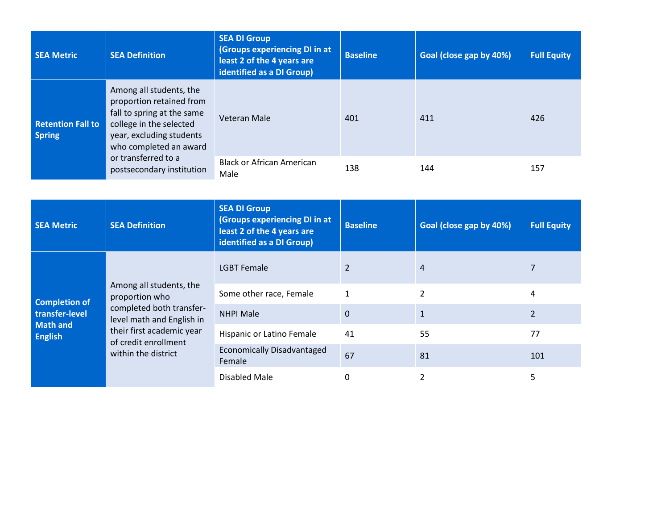| <b>SEA Metric</b>                         | <b>SEA Definition</b>                                                                                                                                              | <b>SEA DI Group</b><br>(Groups experiencing DI in at<br>least 2 of the 4 years are<br>identified as a DI Group) | <b>Baseline</b> | Goal (close gap by 40%) | <b>Full Equity</b> |
|-------------------------------------------|--------------------------------------------------------------------------------------------------------------------------------------------------------------------|-----------------------------------------------------------------------------------------------------------------|-----------------|-------------------------|--------------------|
| <b>Retention Fall to</b><br><b>Spring</b> | Among all students, the<br>proportion retained from<br>fall to spring at the same<br>college in the selected<br>year, excluding students<br>who completed an award | Veteran Male                                                                                                    | 401             | 411                     | 426                |
|                                           | or transferred to a<br>postsecondary institution                                                                                                                   | <b>Black or African American</b><br>Male                                                                        | 138             | 144                     | 157                |

| <b>SEA Metric</b>                                                 | <b>SEA Definition</b>                                 | <b>SEA DI Group</b><br>(Groups experiencing DI in at<br>least 2 of the 4 years are<br>identified as a DI Group) | <b>Baseline</b> | Goal (close gap by 40%) | <b>Full Equity</b> |
|-------------------------------------------------------------------|-------------------------------------------------------|-----------------------------------------------------------------------------------------------------------------|-----------------|-------------------------|--------------------|
|                                                                   |                                                       | <b>LGBT Female</b>                                                                                              |                 | 4                       |                    |
| Among all students, the<br>proportion who<br><b>Completion of</b> | Some other race, Female                               |                                                                                                                 |                 | 4                       |                    |
| transfer-level                                                    | completed both transfer-<br>level math and English in | <b>NHPI Male</b>                                                                                                | $\Omega$        |                         | $\overline{2}$     |
| <b>Math and</b><br><b>English</b>                                 | their first academic year<br>of credit enrollment     | Hispanic or Latino Female                                                                                       | 41              | 55                      | 77                 |
| within the district                                               |                                                       | <b>Economically Disadvantaged</b><br>Female                                                                     | 67              | 81                      | 101                |
|                                                                   |                                                       | Disabled Male                                                                                                   |                 |                         |                    |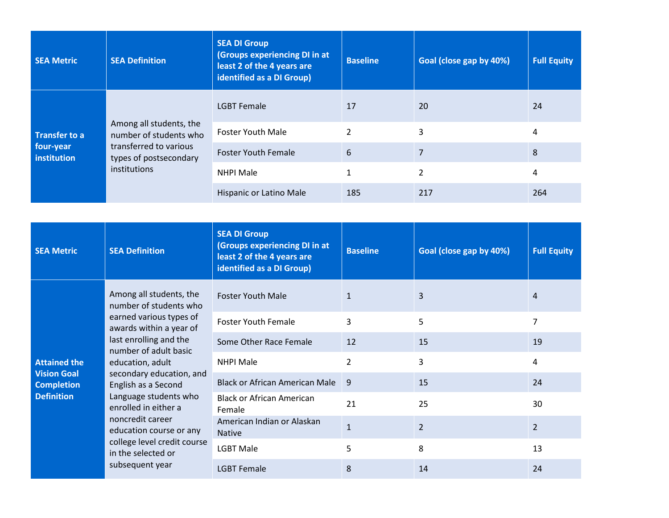| <b>SEA Metric</b>        | <b>SEA Definition</b>                                            | <b>SEA DI Group</b><br>(Groups experiencing DI in at<br>least 2 of the 4 years are<br>identified as a DI Group) | <b>Baseline</b> | Goal (close gap by 40%) | <b>Full Equity</b> |
|--------------------------|------------------------------------------------------------------|-----------------------------------------------------------------------------------------------------------------|-----------------|-------------------------|--------------------|
|                          |                                                                  | <b>LGBT Female</b>                                                                                              |                 | 20                      | 24                 |
| <b>Transfer to a</b>     | Among all students, the<br>number of students who                | <b>Foster Youth Male</b>                                                                                        | 2               | 3                       | 4                  |
| four-year<br>institution | transferred to various<br>types of postsecondary<br>institutions | <b>Foster Youth Female</b>                                                                                      | 6               |                         | 8                  |
|                          |                                                                  | <b>NHPI Male</b>                                                                                                |                 | 2                       | 4                  |
|                          |                                                                  | Hispanic or Latino Male                                                                                         | 185             | 217                     | 264                |

| <b>SEA Metric</b>                                                                                                   | <b>SEA Definition</b>                                                                                 | <b>SEA DI Group</b><br><b>(Groups experiencing DI in at</b><br>least 2 of the 4 years are<br>identified as a DI Group) | <b>Baseline</b> | Goal (close gap by 40%) | <b>Full Equity</b> |
|---------------------------------------------------------------------------------------------------------------------|-------------------------------------------------------------------------------------------------------|------------------------------------------------------------------------------------------------------------------------|-----------------|-------------------------|--------------------|
|                                                                                                                     | Among all students, the<br>number of students who                                                     | <b>Foster Youth Male</b>                                                                                               |                 | 3                       | 4                  |
|                                                                                                                     | earned various types of<br>awards within a year of<br>last enrolling and the<br>number of adult basic | <b>Foster Youth Female</b>                                                                                             | 3               | 5                       | 7                  |
|                                                                                                                     |                                                                                                       | Some Other Race Female                                                                                                 | 12              | 15                      | 19                 |
| <b>Attained the</b>                                                                                                 | education, adult                                                                                      | <b>NHPI Male</b>                                                                                                       | $\overline{2}$  | 3                       | 4                  |
| <b>Vision Goal</b><br><b>Completion</b>                                                                             | secondary education, and<br>English as a Second                                                       | <b>Black or African American Male</b>                                                                                  | 9               | 15                      | 24                 |
| <b>Definition</b>                                                                                                   | Language students who<br>enrolled in either a                                                         | <b>Black or African American</b><br>Female                                                                             | 21              | 25                      | 30                 |
| noncredit career<br>education course or any<br>college level credit course<br>in the selected or<br>subsequent year | American Indian or Alaskan<br><b>Native</b>                                                           | $\mathbf{1}$                                                                                                           | $\overline{2}$  | $\overline{2}$          |                    |
|                                                                                                                     |                                                                                                       | <b>LGBT Male</b>                                                                                                       | 5               | 8                       | 13                 |
|                                                                                                                     | <b>LGBT Female</b>                                                                                    | 8                                                                                                                      | 14              | 24                      |                    |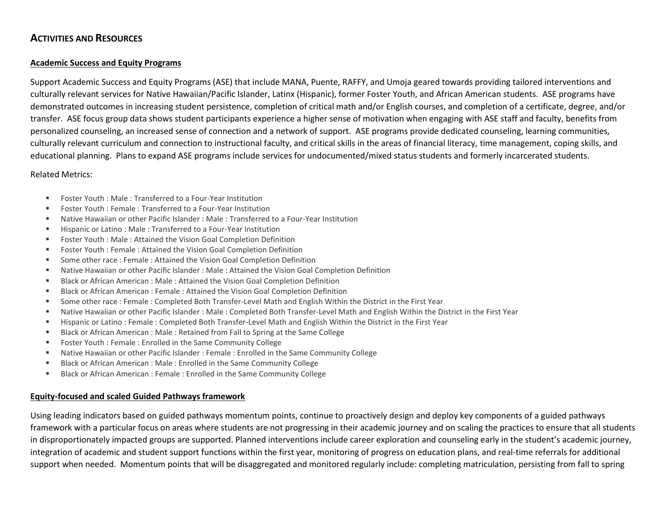# **ACTIVITIES AND RESOURCES**

# **Academic Success and Equity Programs**

Support Academic Success and Equity Programs (ASE) that include MANA, Puente, RAFFY, and Umoja geared towards providing tailored interventions and culturally relevant services for Native Hawaiian/Pacific Islander, Latinx (Hispanic), former Foster Youth, and African American students. ASE programs have demonstrated outcomes in increasing student persistence, completion of critical math and/or English courses, and completion of a certificate, degree, and/or transfer. ASE focus group data shows student participants experience a higher sense of motivation when engaging with ASE staff and faculty, benefits from personalized counseling, an increased sense of connection and a network of support. ASE programs provide dedicated counseling, learning communities, culturally relevant curriculum and connection to instructional faculty, and critical skills in the areas of financial literacy, time management, coping skills, and educational planning. Plans to expand ASE programs include services for undocumented/mixed status students and formerly incarcerated students.

## Related Metrics:

- Foster Youth : Male : Transferred to a Four-Year Institution
- Foster Youth : Female : Transferred to a Four-Year Institution
- Native Hawaiian or other Pacific Islander : Male : Transferred to a Four-Year Institution
- **Hispanic or Latino: Male: Transferred to a Four-Year Institution**
- Foster Youth : Male : Attained the Vision Goal Completion Definition
- Foster Youth : Female : Attained the Vision Goal Completion Definition
- Some other race : Female : Attained the Vision Goal Completion Definition
- Native Hawaiian or other Pacific Islander : Male : Attained the Vision Goal Completion Definition
- Black or African American : Male : Attained the Vision Goal Completion Definition
- Black or African American : Female : Attained the Vision Goal Completion Definition
- Some other race : Female : Completed Both Transfer-Level Math and English Within the District in the First Year
- Native Hawaiian or other Pacific Islander : Male : Completed Both Transfer-Level Math and English Within the District in the First Year
- Hispanic or Latino : Female : Completed Both Transfer-Level Math and English Within the District in the First Year
- Black or African American : Male : Retained from Fall to Spring at the Same College
- Foster Youth : Female : Enrolled in the Same Community College
- Native Hawaiian or other Pacific Islander : Female : Enrolled in the Same Community College
- Black or African American : Male : Enrolled in the Same Community College
- Black or African American : Female : Enrolled in the Same Community College

## **Equity-focused and scaled Guided Pathways framework**

Using leading indicators based on guided pathways momentum points, continue to proactively design and deploy key components of a guided pathways framework with a particular focus on areas where students are not progressing in their academic journey and on scaling the practices to ensure that all students in disproportionately impacted groups are supported. Planned interventions include career exploration and counseling early in the student's academic journey, integration of academic and student support functions within the first year, monitoring of progress on education plans, and real-time referrals for additional support when needed. Momentum points that will be disaggregated and monitored regularly include: completing matriculation, persisting from fall to spring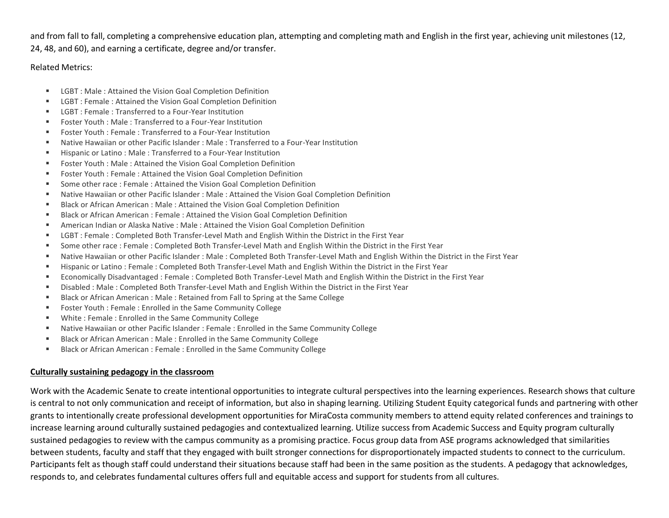and from fall to fall, completing a comprehensive education plan, attempting and completing math and English in the first year, achieving unit milestones (12, 24, 48, and 60), and earning a certificate, degree and/or transfer.

## Related Metrics:

- **EXECT : Male : Attained the Vision Goal Completion Definition**
- LGBT : Female : Attained the Vision Goal Completion Definition
- LGBT : Female : Transferred to a Four-Year Institution
- Foster Youth : Male : Transferred to a Four-Year Institution
- Foster Youth : Female : Transferred to a Four-Year Institution
- Native Hawaiian or other Pacific Islander : Male : Transferred to a Four-Year Institution
- **Hispanic or Latino: Male: Transferred to a Four-Year Institution**
- Foster Youth : Male : Attained the Vision Goal Completion Definition
- Foster Youth : Female : Attained the Vision Goal Completion Definition
- Some other race : Female : Attained the Vision Goal Completion Definition
- Native Hawaiian or other Pacific Islander : Male : Attained the Vision Goal Completion Definition
- Black or African American : Male : Attained the Vision Goal Completion Definition
- Black or African American : Female : Attained the Vision Goal Completion Definition
- American Indian or Alaska Native : Male : Attained the Vision Goal Completion Definition
- LGBT : Female : Completed Both Transfer-Level Math and English Within the District in the First Year
- Some other race : Female : Completed Both Transfer-Level Math and English Within the District in the First Year
- Native Hawaiian or other Pacific Islander : Male : Completed Both Transfer-Level Math and English Within the District in the First Year
- Hispanic or Latino : Female : Completed Both Transfer-Level Math and English Within the District in the First Year
- Economically Disadvantaged : Female : Completed Both Transfer-Level Math and English Within the District in the First Year
- Disabled : Male : Completed Both Transfer-Level Math and English Within the District in the First Year
- Black or African American : Male : Retained from Fall to Spring at the Same College
- Foster Youth : Female : Enrolled in the Same Community College
- White : Female : Enrolled in the Same Community College
- Native Hawaiian or other Pacific Islander : Female : Enrolled in the Same Community College
- Black or African American : Male : Enrolled in the Same Community College
- Black or African American : Female : Enrolled in the Same Community College

# **Culturally sustaining pedagogy in the classroom**

Work with the Academic Senate to create intentional opportunities to integrate cultural perspectives into the learning experiences. Research shows that culture is central to not only communication and receipt of information, but also in shaping learning. Utilizing Student Equity categorical funds and partnering with other grants to intentionally create professional development opportunities for MiraCosta community members to attend equity related conferences and trainings to increase learning around culturally sustained pedagogies and contextualized learning. Utilize success from Academic Success and Equity program culturally sustained pedagogies to review with the campus community as a promising practice. Focus group data from ASE programs acknowledged that similarities between students, faculty and staff that they engaged with built stronger connections for disproportionately impacted students to connect to the curriculum. Participants felt as though staff could understand their situations because staff had been in the same position as the students. A pedagogy that acknowledges, responds to, and celebrates fundamental cultures offers full and equitable access and support for students from all cultures.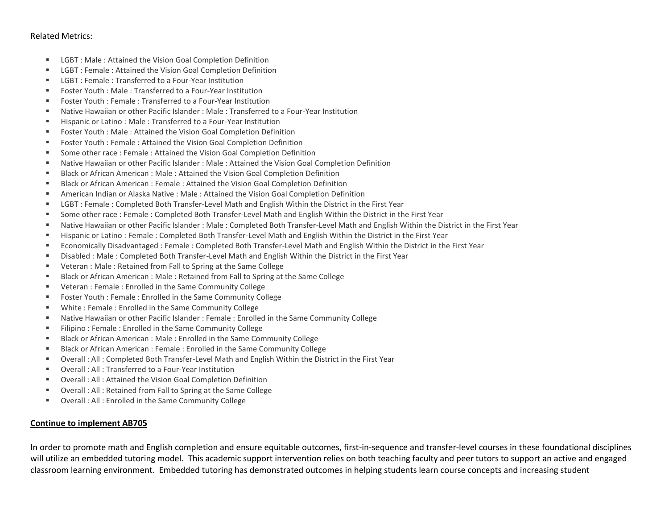#### Related Metrics:

- LGBT : Male : Attained the Vision Goal Completion Definition
- LGBT : Female : Attained the Vision Goal Completion Definition
- **EXECT : Female : Transferred to a Four-Year Institution**
- Foster Youth : Male : Transferred to a Four-Year Institution
- Foster Youth : Female : Transferred to a Four-Year Institution
- Native Hawaiian or other Pacific Islander : Male : Transferred to a Four-Year Institution
- **Hispanic or Latino: Male: Transferred to a Four-Year Institution**
- Foster Youth : Male : Attained the Vision Goal Completion Definition
- Foster Youth : Female : Attained the Vision Goal Completion Definition
- Some other race : Female : Attained the Vision Goal Completion Definition
- Native Hawaiian or other Pacific Islander : Male : Attained the Vision Goal Completion Definition
- **Black or African American : Male : Attained the Vision Goal Completion Definition**
- Black or African American : Female : Attained the Vision Goal Completion Definition
- American Indian or Alaska Native : Male : Attained the Vision Goal Completion Definition
- **EXECT : Female : Completed Both Transfer-Level Math and English Within the District in the First Year**
- Some other race : Female : Completed Both Transfer-Level Math and English Within the District in the First Year
- Native Hawaiian or other Pacific Islander : Male : Completed Both Transfer-Level Math and English Within the District in the First Year
- Hispanic or Latino : Female : Completed Both Transfer-Level Math and English Within the District in the First Year
- Economically Disadvantaged : Female : Completed Both Transfer-Level Math and English Within the District in the First Year
- Disabled : Male : Completed Both Transfer-Level Math and English Within the District in the First Year
- Veteran : Male : Retained from Fall to Spring at the Same College
- Black or African American : Male : Retained from Fall to Spring at the Same College
- Veteran : Female : Enrolled in the Same Community College
- Foster Youth : Female : Enrolled in the Same Community College
- White : Female : Enrolled in the Same Community College
- Native Hawaiian or other Pacific Islander : Female : Enrolled in the Same Community College
- Filipino : Female : Enrolled in the Same Community College
- Black or African American : Male : Enrolled in the Same Community College
- **Black or African American : Female : Enrolled in the Same Community College**
- Overall : All : Completed Both Transfer-Level Math and English Within the District in the First Year
- Overall : All : Transferred to a Four-Year Institution
- Overall : All : Attained the Vision Goal Completion Definition
- Overall : All : Retained from Fall to Spring at the Same College
- Overall : All : Enrolled in the Same Community College

## **Continue to implement AB705**

In order to promote math and English completion and ensure equitable outcomes, first-in-sequence and transfer-level courses in these foundational disciplines will utilize an embedded tutoring model. This academic support intervention relies on both teaching faculty and peer tutors to support an active and engaged classroom learning environment. Embedded tutoring has demonstrated outcomes in helping students learn course concepts and increasing student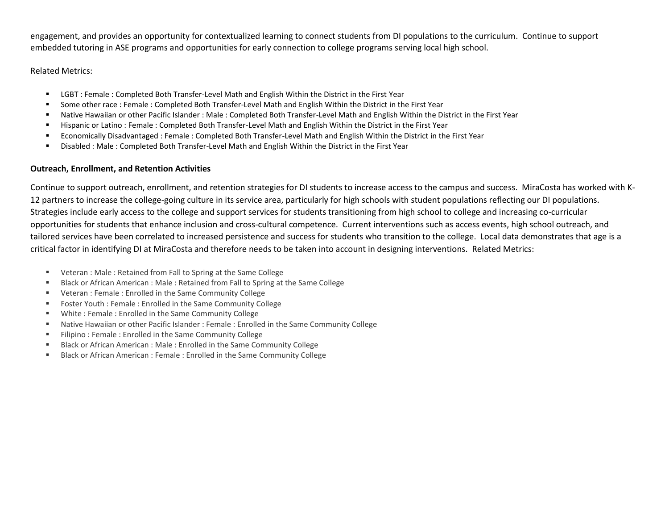engagement, and provides an opportunity for contextualized learning to connect students from DI populations to the curriculum. Continue to support embedded tutoring in ASE programs and opportunities for early connection to college programs serving local high school.

## Related Metrics:

- **EXECT : Female : Completed Both Transfer-Level Math and English Within the District in the First Year**
- Some other race : Female : Completed Both Transfer-Level Math and English Within the District in the First Year
- Native Hawaiian or other Pacific Islander : Male : Completed Both Transfer-Level Math and English Within the District in the First Year
- Hispanic or Latino : Female : Completed Both Transfer-Level Math and English Within the District in the First Year
- Economically Disadvantaged : Female : Completed Both Transfer-Level Math and English Within the District in the First Year
- Disabled : Male : Completed Both Transfer-Level Math and English Within the District in the First Year

# **Outreach, Enrollment, and Retention Activities**

Continue to support outreach, enrollment, and retention strategies for DI students to increase access to the campus and success. MiraCosta has worked with K-12 partners to increase the college-going culture in its service area, particularly for high schools with student populations reflecting our DI populations. Strategies include early access to the college and support services for students transitioning from high school to college and increasing co-curricular opportunities for students that enhance inclusion and cross-cultural competence. Current interventions such as access events, high school outreach, and tailored services have been correlated to increased persistence and success for students who transition to the college. Local data demonstrates that age is a critical factor in identifying DI at MiraCosta and therefore needs to be taken into account in designing interventions. Related Metrics:

- Veteran : Male : Retained from Fall to Spring at the Same College
- Black or African American : Male : Retained from Fall to Spring at the Same College
- Veteran : Female : Enrolled in the Same Community College
- Foster Youth : Female : Enrolled in the Same Community College
- White : Female : Enrolled in the Same Community College
- Native Hawaiian or other Pacific Islander : Female : Enrolled in the Same Community College
- Filipino : Female : Enrolled in the Same Community College
- **Black or African American : Male : Enrolled in the Same Community College**
- **Black or African American : Female : Enrolled in the Same Community College**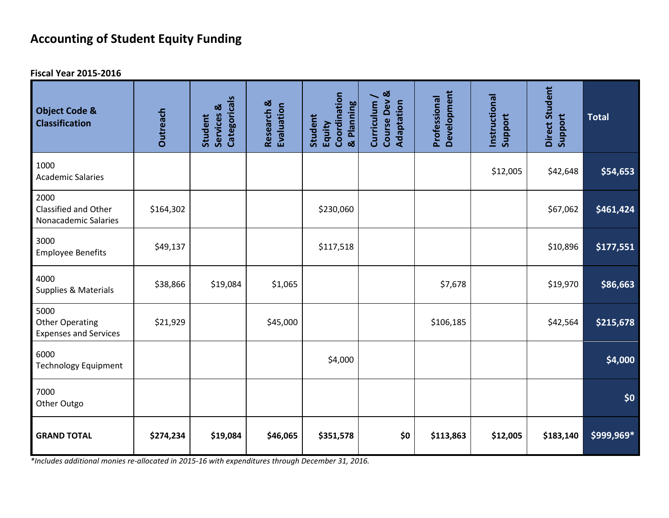# **Accounting of Student Equity Funding**

**Fiscal Year 2015-2016**

| <b>Object Code &amp;</b><br><b>Classification</b>              | Outreach  | Categoricals<br>Services &<br>Student | Research &<br>Evaluation | Coordination<br>& Planning<br>Student<br>Equity | Course Dev &<br>Curriculum /<br>Adaptation | Development<br>Professional | Instructional<br>Support | Direct Student<br>Support | <b>Total</b> |
|----------------------------------------------------------------|-----------|---------------------------------------|--------------------------|-------------------------------------------------|--------------------------------------------|-----------------------------|--------------------------|---------------------------|--------------|
| 1000<br><b>Academic Salaries</b>                               |           |                                       |                          |                                                 |                                            |                             | \$12,005                 | \$42,648                  | \$54,653     |
| 2000<br>Classified and Other<br>Nonacademic Salaries           | \$164,302 |                                       |                          | \$230,060                                       |                                            |                             |                          | \$67,062                  | \$461,424    |
| 3000<br><b>Employee Benefits</b>                               | \$49,137  |                                       |                          | \$117,518                                       |                                            |                             |                          | \$10,896                  | \$177,551    |
| 4000<br>Supplies & Materials                                   | \$38,866  | \$19,084                              | \$1,065                  |                                                 |                                            | \$7,678                     |                          | \$19,970                  | \$86,663     |
| 5000<br><b>Other Operating</b><br><b>Expenses and Services</b> | \$21,929  |                                       | \$45,000                 |                                                 |                                            | \$106,185                   |                          | \$42,564                  | \$215,678    |
| 6000<br><b>Technology Equipment</b>                            |           |                                       |                          | \$4,000                                         |                                            |                             |                          |                           | \$4,000      |
| 7000<br>Other Outgo                                            |           |                                       |                          |                                                 |                                            |                             |                          |                           | \$0          |
| <b>GRAND TOTAL</b>                                             | \$274,234 | \$19,084                              | \$46,065                 | \$351,578                                       | \$0                                        | \$113,863                   | \$12,005                 | \$183,140                 | \$999,969*   |

*\*Includes additional monies re-allocated in 2015-16 with expenditures through December 31, 2016.*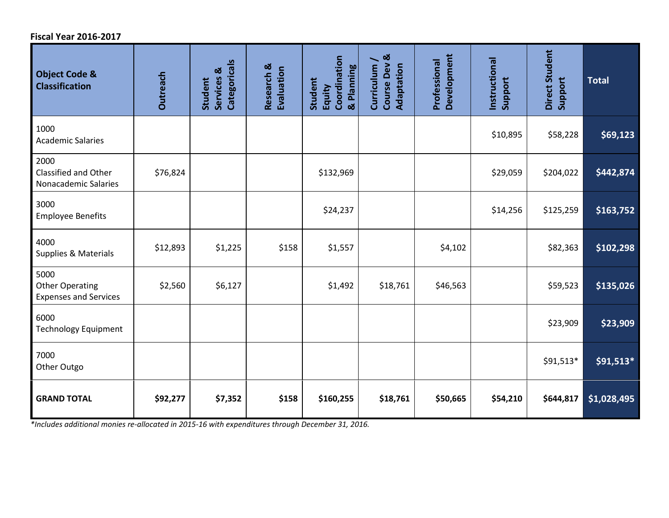# **Fiscal Year 2016-2017**

| <b>Object Code &amp;</b><br><b>Classification</b>              | <b>Outreach</b> | Categoricals<br>Services &<br>Student | Research &<br>Evaluation | Coordination<br>& Planning<br>Student<br>Equity | Course Dev &<br>Curriculum /<br>Adaptation | Development<br>Professional | Instructional<br>Support | Direct Student<br>Support | <b>Total</b> |
|----------------------------------------------------------------|-----------------|---------------------------------------|--------------------------|-------------------------------------------------|--------------------------------------------|-----------------------------|--------------------------|---------------------------|--------------|
| 1000<br><b>Academic Salaries</b>                               |                 |                                       |                          |                                                 |                                            |                             | \$10,895                 | \$58,228                  | \$69,123     |
| 2000<br>Classified and Other<br>Nonacademic Salaries           | \$76,824        |                                       |                          | \$132,969                                       |                                            |                             | \$29,059                 | \$204,022                 | \$442,874    |
| 3000<br><b>Employee Benefits</b>                               |                 |                                       |                          | \$24,237                                        |                                            |                             | \$14,256                 | \$125,259                 | \$163,752    |
| 4000<br>Supplies & Materials                                   | \$12,893        | \$1,225                               | \$158                    | \$1,557                                         |                                            | \$4,102                     |                          | \$82,363                  | \$102,298    |
| 5000<br><b>Other Operating</b><br><b>Expenses and Services</b> | \$2,560         | \$6,127                               |                          | \$1,492                                         | \$18,761                                   | \$46,563                    |                          | \$59,523                  | \$135,026    |
| 6000<br><b>Technology Equipment</b>                            |                 |                                       |                          |                                                 |                                            |                             |                          | \$23,909                  | \$23,909     |
| 7000<br>Other Outgo                                            |                 |                                       |                          |                                                 |                                            |                             |                          | \$91,513*                 | $$91,513*$   |
| <b>GRAND TOTAL</b>                                             | \$92,277        | \$7,352                               | \$158                    | \$160,255                                       | \$18,761                                   | \$50,665                    | \$54,210                 | \$644,817                 | \$1,028,495  |

*\*Includes additional monies re-allocated in 2015-16 with expenditures through December 31, 2016.*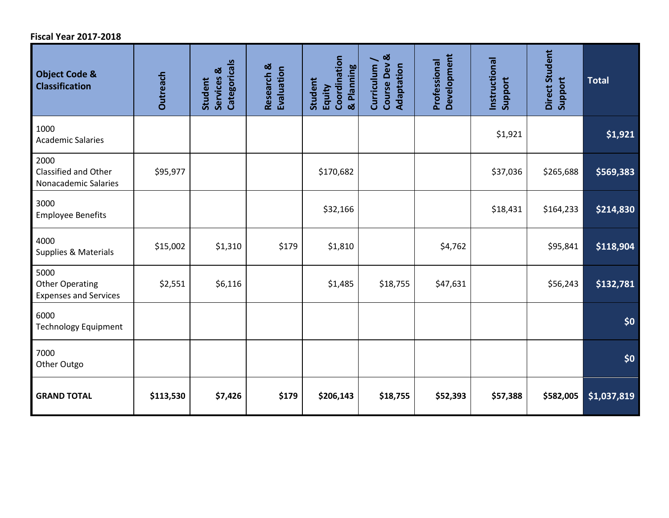# **Fiscal Year 2017-2018**

| <b>Object Code &amp;</b><br><b>Classification</b>              | <b>Outreach</b> | Categoricals<br>Services &<br>Student | Research &<br>Evaluation | Coordination<br>& Planning<br>Student<br>Equity | Course Dev &<br>Curriculum /<br>Adaptation | Development<br>Professional | Instructional<br>Support | Direct Student<br>Support | <b>Total</b> |
|----------------------------------------------------------------|-----------------|---------------------------------------|--------------------------|-------------------------------------------------|--------------------------------------------|-----------------------------|--------------------------|---------------------------|--------------|
| 1000<br><b>Academic Salaries</b>                               |                 |                                       |                          |                                                 |                                            |                             | \$1,921                  |                           | \$1,921      |
| 2000<br>Classified and Other<br>Nonacademic Salaries           | \$95,977        |                                       |                          | \$170,682                                       |                                            |                             | \$37,036                 | \$265,688                 | \$569,383    |
| 3000<br><b>Employee Benefits</b>                               |                 |                                       |                          | \$32,166                                        |                                            |                             | \$18,431                 | \$164,233                 | \$214,830    |
| 4000<br>Supplies & Materials                                   | \$15,002        | \$1,310                               | \$179                    | \$1,810                                         |                                            | \$4,762                     |                          | \$95,841                  | \$118,904    |
| 5000<br><b>Other Operating</b><br><b>Expenses and Services</b> | \$2,551         | \$6,116                               |                          | \$1,485                                         | \$18,755                                   | \$47,631                    |                          | \$56,243                  | \$132,781    |
| 6000<br><b>Technology Equipment</b>                            |                 |                                       |                          |                                                 |                                            |                             |                          |                           | \$0          |
| 7000<br>Other Outgo                                            |                 |                                       |                          |                                                 |                                            |                             |                          |                           | \$0          |
| <b>GRAND TOTAL</b>                                             | \$113,530       | \$7,426                               | \$179                    | \$206,143                                       | \$18,755                                   | \$52,393                    | \$57,388                 | \$582,005                 | \$1,037,819  |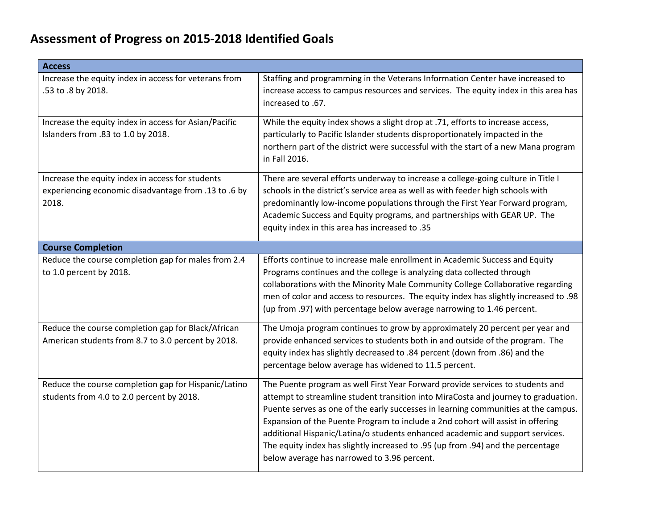| <b>Access</b>                                                                                                     |                                                                                                                                                                                                                                                                                                                                                                                                                                                                                                                                                                  |
|-------------------------------------------------------------------------------------------------------------------|------------------------------------------------------------------------------------------------------------------------------------------------------------------------------------------------------------------------------------------------------------------------------------------------------------------------------------------------------------------------------------------------------------------------------------------------------------------------------------------------------------------------------------------------------------------|
| Increase the equity index in access for veterans from<br>.53 to .8 by 2018.                                       | Staffing and programming in the Veterans Information Center have increased to<br>increase access to campus resources and services. The equity index in this area has<br>increased to .67.                                                                                                                                                                                                                                                                                                                                                                        |
| Increase the equity index in access for Asian/Pacific<br>Islanders from .83 to 1.0 by 2018.                       | While the equity index shows a slight drop at .71, efforts to increase access,<br>particularly to Pacific Islander students disproportionately impacted in the<br>northern part of the district were successful with the start of a new Mana program<br>in Fall 2016.                                                                                                                                                                                                                                                                                            |
| Increase the equity index in access for students<br>experiencing economic disadvantage from .13 to .6 by<br>2018. | There are several efforts underway to increase a college-going culture in Title I<br>schools in the district's service area as well as with feeder high schools with<br>predominantly low-income populations through the First Year Forward program,<br>Academic Success and Equity programs, and partnerships with GEAR UP. The<br>equity index in this area has increased to .35                                                                                                                                                                               |
| <b>Course Completion</b>                                                                                          |                                                                                                                                                                                                                                                                                                                                                                                                                                                                                                                                                                  |
| Reduce the course completion gap for males from 2.4<br>to 1.0 percent by 2018.                                    | Efforts continue to increase male enrollment in Academic Success and Equity<br>Programs continues and the college is analyzing data collected through<br>collaborations with the Minority Male Community College Collaborative regarding<br>men of color and access to resources. The equity index has slightly increased to .98<br>(up from .97) with percentage below average narrowing to 1.46 percent.                                                                                                                                                       |
| Reduce the course completion gap for Black/African<br>American students from 8.7 to 3.0 percent by 2018.          | The Umoja program continues to grow by approximately 20 percent per year and<br>provide enhanced services to students both in and outside of the program. The<br>equity index has slightly decreased to .84 percent (down from .86) and the<br>percentage below average has widened to 11.5 percent.                                                                                                                                                                                                                                                             |
| Reduce the course completion gap for Hispanic/Latino<br>students from 4.0 to 2.0 percent by 2018.                 | The Puente program as well First Year Forward provide services to students and<br>attempt to streamline student transition into MiraCosta and journey to graduation.<br>Puente serves as one of the early successes in learning communities at the campus.<br>Expansion of the Puente Program to include a 2nd cohort will assist in offering<br>additional Hispanic/Latina/o students enhanced academic and support services.<br>The equity index has slightly increased to .95 (up from .94) and the percentage<br>below average has narrowed to 3.96 percent. |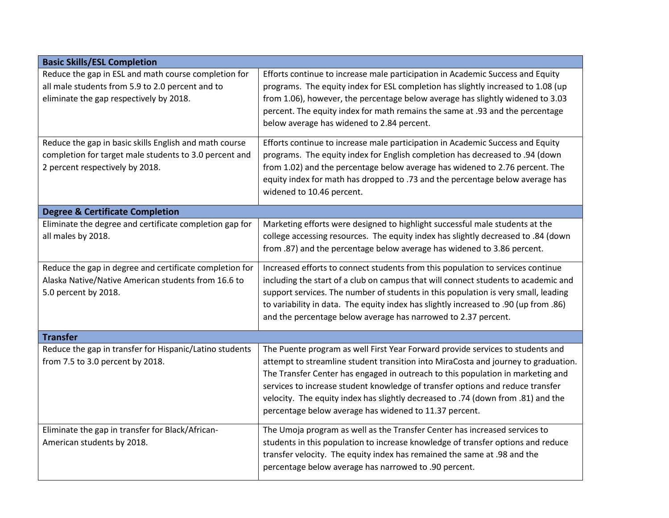| <b>Basic Skills/ESL Completion</b>                                                                                                                  |                                                                                                                                                                                                                                                                                                                                                                                                                                                                                         |
|-----------------------------------------------------------------------------------------------------------------------------------------------------|-----------------------------------------------------------------------------------------------------------------------------------------------------------------------------------------------------------------------------------------------------------------------------------------------------------------------------------------------------------------------------------------------------------------------------------------------------------------------------------------|
| Reduce the gap in ESL and math course completion for<br>all male students from 5.9 to 2.0 percent and to<br>eliminate the gap respectively by 2018. | Efforts continue to increase male participation in Academic Success and Equity<br>programs. The equity index for ESL completion has slightly increased to 1.08 (up<br>from 1.06), however, the percentage below average has slightly widened to 3.03<br>percent. The equity index for math remains the same at .93 and the percentage<br>below average has widened to 2.84 percent.                                                                                                     |
| Reduce the gap in basic skills English and math course<br>completion for target male students to 3.0 percent and<br>2 percent respectively by 2018. | Efforts continue to increase male participation in Academic Success and Equity<br>programs. The equity index for English completion has decreased to .94 (down<br>from 1.02) and the percentage below average has widened to 2.76 percent. The<br>equity index for math has dropped to .73 and the percentage below average has<br>widened to 10.46 percent.                                                                                                                            |
| <b>Degree &amp; Certificate Completion</b>                                                                                                          |                                                                                                                                                                                                                                                                                                                                                                                                                                                                                         |
| Eliminate the degree and certificate completion gap for<br>all males by 2018.                                                                       | Marketing efforts were designed to highlight successful male students at the<br>college accessing resources. The equity index has slightly decreased to .84 (down<br>from .87) and the percentage below average has widened to 3.86 percent.                                                                                                                                                                                                                                            |
| Reduce the gap in degree and certificate completion for<br>Alaska Native/Native American students from 16.6 to<br>5.0 percent by 2018.              | Increased efforts to connect students from this population to services continue<br>including the start of a club on campus that will connect students to academic and<br>support services. The number of students in this population is very small, leading<br>to variability in data. The equity index has slightly increased to .90 (up from .86)<br>and the percentage below average has narrowed to 2.37 percent.                                                                   |
| <b>Transfer</b>                                                                                                                                     |                                                                                                                                                                                                                                                                                                                                                                                                                                                                                         |
| Reduce the gap in transfer for Hispanic/Latino students<br>from 7.5 to 3.0 percent by 2018.                                                         | The Puente program as well First Year Forward provide services to students and<br>attempt to streamline student transition into MiraCosta and journey to graduation.<br>The Transfer Center has engaged in outreach to this population in marketing and<br>services to increase student knowledge of transfer options and reduce transfer<br>velocity. The equity index has slightly decreased to .74 (down from .81) and the<br>percentage below average has widened to 11.37 percent. |
| Eliminate the gap in transfer for Black/African-<br>American students by 2018.                                                                      | The Umoja program as well as the Transfer Center has increased services to<br>students in this population to increase knowledge of transfer options and reduce<br>transfer velocity. The equity index has remained the same at .98 and the<br>percentage below average has narrowed to .90 percent.                                                                                                                                                                                     |